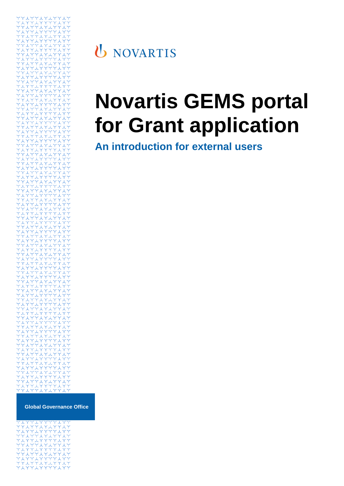

## **U** NOVARTIS

# **Novartis GEMS portal for Grant application**

**An introduction for external users**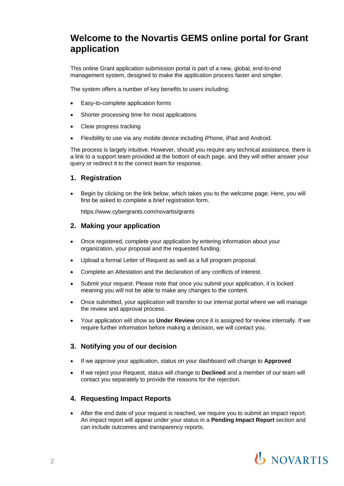### **Welcome to the Novartis GEMS online portal for Grant application**

This online Grant application submission portal is part of a new, global, end-to-end management system, designed to make the application process faster and simpler.

The system offers a number of key benefits to users including:

- Easy-to-complete application forms
- Shorter processing time for most applications
- Clear progress tracking
- Flexibility to use via any mobile device including iPhone, iPad and Android.

The process is largely intuitive. However, should you require any technical assistance, there is a link to a support team provided at the bottom of each page, and they will either answer your query or redirect it to the correct team for response.

#### **1. Registration**

 Begin by clicking on the link below, which takes you to the welcome page. Here, you will first be asked to complete a brief registration form.

<https://www.cybergrants.com/novartis/grants>

#### **2. Making your application**

- Once registered, complete your application by entering information about your organization, your proposal and the requested funding.
- Upload a formal Letter of Request as well as a full program proposal.
- Complete an Attestation and the declaration of any conflicts of interest.
- Submit your request. Please note that once you submit your application, it is locked meaning you will not be able to make any changes to the content.
- Once submitted, your application will transfer to our internal portal where we will manage the review and approval process.
- Your application will show as **Under Review** once it is assigned for review internally. If we require further information before making a decision, we will contact you.

#### **3. Notifying you of our decision**

- If we approve your application, status on your dashboard will change to **Approved**
- If we reject your Request, status will change to **Declined** and a member of our team will contact you separately to provide the reasons for the rejection.

#### **4. Requesting Impact Reports**

 After the end date of your request is reached, we require you to submit an impact report. An impact report will appear under your status in a **Pending Impact Report** section and can include outcomes and transparency reports.